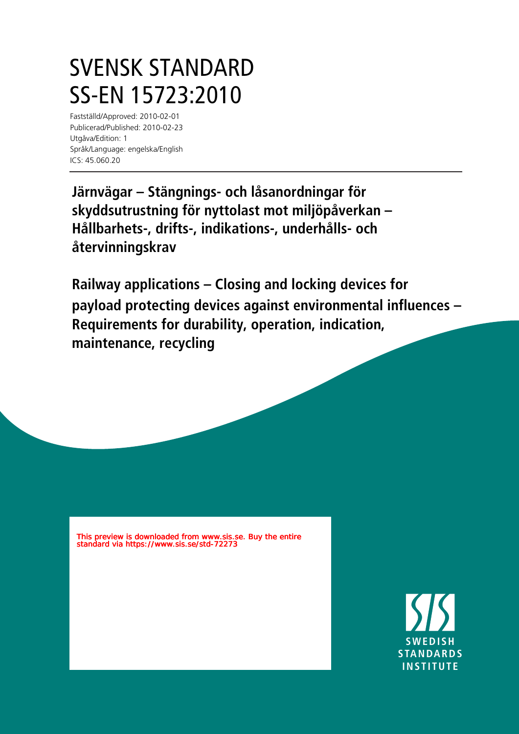### SVENSK STANDARD SS-EN 15723:2010

Fastställd/Approved: 2010-02-01 Publicerad/Published: 2010-02-23 Utgåva/Edition: 1 Språk/Language: engelska/English ICS: 45.060.20

**Järnvägar – Stängnings- och låsanordningar för skyddsutrustning för nyttolast mot miljöpåverkan – Hållbarhets-, drifts-, indikations-, underhålls- och återvinningskrav**

**Railway applications – Closing and locking devices for payload protecting devices against environmental influences – Requirements for durability, operation, indication, maintenance, recycling**

This preview is downloaded from www.sis.se. Buy the entire standard via https://www.sis.se/std-72273

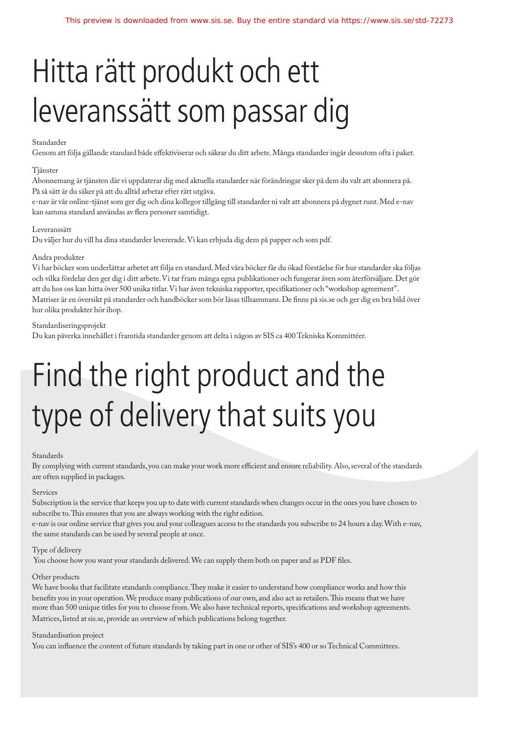## Hitta rätt produkt och ett leveranssätt som passar dig

#### Standarder

Genom att följa gällande standard både effektiviserar och säkrar du ditt arbete. Många standarder ingår dessutom ofta i paket.

#### Tjänster

Abonnemang är tjänsten där vi uppdaterar dig med aktuella standarder när förändringar sker på dem du valt att abonnera på. På så sätt är du säker på att du alltid arbetar efter rätt utgåva.

e-nav är vår online-tjänst som ger dig och dina kollegor tillgång till standarder ni valt att abonnera på dygnet runt. Med e-nav kan samma standard användas av flera personer samtidigt.

#### Leveranssätt

Du väljer hur du vill ha dina standarder levererade. Vi kan erbjuda dig dem på papper och som pdf.

#### Andra produkter

Vi har böcker som underlättar arbetet att följa en standard. Med våra böcker får du ökad förståelse för hur standarder ska följas och vilka fördelar den ger dig i ditt arbete. Vi tar fram många egna publikationer och fungerar även som återförsäljare. Det gör att du hos oss kan hitta över 500 unika titlar. Vi har även tekniska rapporter, specikationer och "workshop agreement". Matriser är en översikt på standarder och handböcker som bör läsas tillsammans. De finns på sis.se och ger dig en bra bild över hur olika produkter hör ihop.

#### Standardiseringsprojekt

Du kan påverka innehållet i framtida standarder genom att delta i någon av SIS ca 400 Tekniska Kommittéer.

# Find the right product and the type of delivery that suits you

#### Standards

By complying with current standards, you can make your work more efficient and ensure reliability. Also, several of the standards are often supplied in packages.

#### Services

Subscription is the service that keeps you up to date with current standards when changes occur in the ones you have chosen to subscribe to. This ensures that you are always working with the right edition.

e-nav is our online service that gives you and your colleagues access to the standards you subscribe to 24 hours a day. With e-nav, the same standards can be used by several people at once.

#### Type of delivery

You choose how you want your standards delivered. We can supply them both on paper and as PDF files.

#### Other products

We have books that facilitate standards compliance. They make it easier to understand how compliance works and how this benefits you in your operation. We produce many publications of our own, and also act as retailers. This means that we have more than 500 unique titles for you to choose from. We also have technical reports, specifications and workshop agreements. Matrices, listed at sis.se, provide an overview of which publications belong together.

#### Standardisation project

You can influence the content of future standards by taking part in one or other of SIS's 400 or so Technical Committees.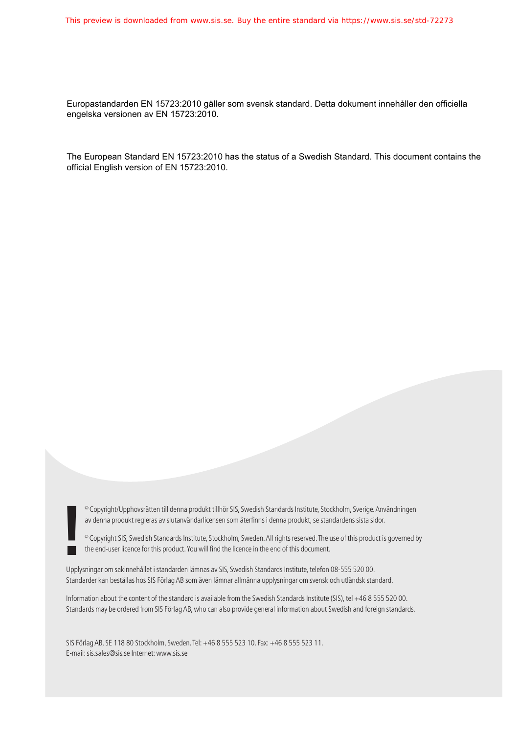Europastandarden EN 15723:2010 gäller som svensk standard. Detta dokument innehåller den officiella engelska versionen av EN 15723:2010.

The European Standard EN 15723:2010 has the status of a Swedish Standard. This document contains the official English version of EN 15723:2010.

© Copyright/Upphovsrätten till denna produkt tillhör SIS, Swedish Standards Institute, Stockholm, Sverige. Användningen av denna produkt regleras av slutanvändarlicensen som återfinns i denna produkt, se standardens sista sidor.

© Copyright/Upphovsrätten till denna produkt tillhör SIS, Swedish Standards Institute, Stockholm, Sverige. Användningen<br>av denna produkt regleras av slutanvändarlicensen som återfinns i denna produkt, se standardens sista

Upplysningar om sakinnehållet i standarden lämnas av SIS, Swedish Standards Institute, telefon 08-555 520 00. Standarder kan beställas hos SIS Förlag AB som även lämnar allmänna upplysningar om svensk och utländsk standard.

Information about the content of the standard is available from the Swedish Standards Institute (SIS), tel +46 8 555 520 00. Standards may be ordered from SIS Förlag AB, who can also provide general information about Swedish and foreign standards.

SIS Förlag AB, SE 118 80 Stockholm, Sweden. Tel: +46 8 555 523 10. Fax: +46 8 555 523 11. E-mail: sis.sales@sis.se Internet: www.sis.se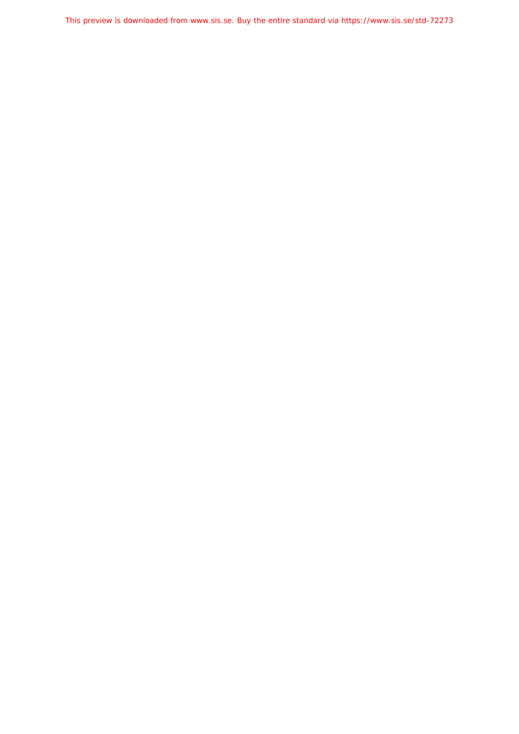This preview is downloaded from www.sis.se. Buy the entire standard via https://www.sis.se/std-72273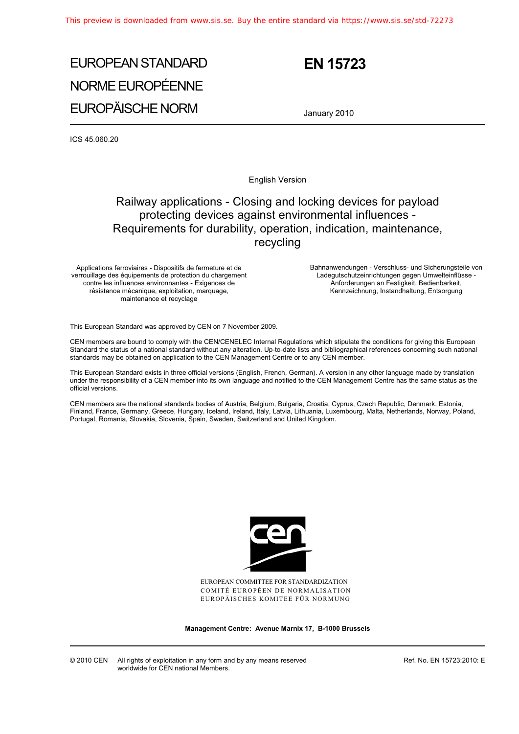### EUROPEANSTANDARD NORME EUROPÉENNE EUROPÄISCHE NORM

**EN 15723**

January 2010

ICS 45.060.20

English Version

#### Railway applications - Closing and locking devices for payload protecting devices against environmental influences - Requirements for durability, operation, indication, maintenance, recycling

Applications ferroviaires - Dispositifs de fermeture et de verrouillage des équipements de protection du chargement contre les influences environnantes - Exigences de résistance mécanique, exploitation, marquage, maintenance et recyclage

Bahnanwendungen - Verschluss- und Sicherungsteile von Ladegutschutzeinrichtungen gegen Umwelteinflüsse - Anforderungen an Festigkeit, Bedienbarkeit, Kennzeichnung, Instandhaltung, Entsorgung

This European Standard was approved by CEN on 7 November 2009.

CEN members are bound to comply with the CEN/CENELEC Internal Regulations which stipulate the conditions for giving this European Standard the status of a national standard without any alteration. Up-to-date lists and bibliographical references concerning such national standards may be obtained on application to the CEN Management Centre or to any CEN member.

This European Standard exists in three official versions (English, French, German). A version in any other language made by translation under the responsibility of a CEN member into its own language and notified to the CEN Management Centre has the same status as the official versions.

CEN members are the national standards bodies of Austria, Belgium, Bulgaria, Croatia, Cyprus, Czech Republic, Denmark, Estonia, Finland, France, Germany, Greece, Hungary, Iceland, Ireland, Italy, Latvia, Lithuania, Luxembourg, Malta, Netherlands, Norway, Poland, Portugal, Romania, Slovakia, Slovenia, Spain, Sweden, Switzerland and United Kingdom.



EUROPEAN COMMITTEE FOR STANDARDIZATION COMITÉ EUROPÉEN DE NORMALISATION EUROPÄISCHES KOMITEE FÜR NORMUNG

**Management Centre: Avenue Marnix 17, B-1000 Brussels**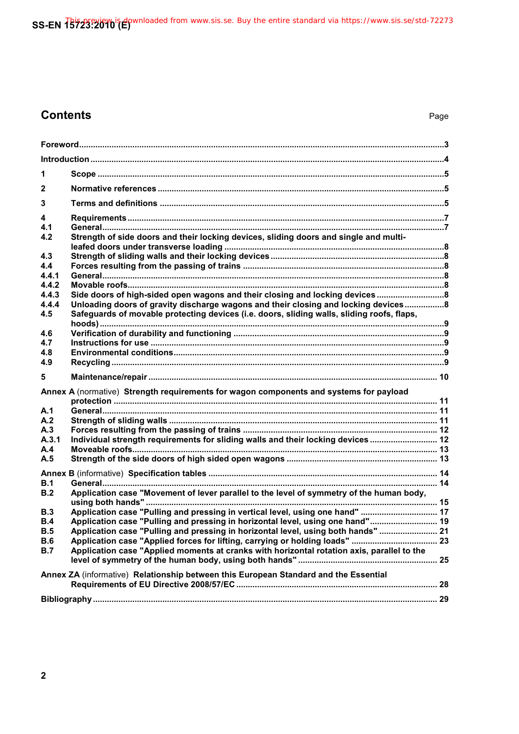SS-EN 15723:2010 (E) This preview is downloaded from www.sis.se. Buy the entire standard via https://www.sis.se/std-72273<br>SS-EN 15723:2010 (E)

#### **Contents** Page

**EN 15723:2010 (E)**

| 1                                                                                    |                                                                                                                                                                                  |  |  |  |
|--------------------------------------------------------------------------------------|----------------------------------------------------------------------------------------------------------------------------------------------------------------------------------|--|--|--|
| $\mathbf{2}$                                                                         |                                                                                                                                                                                  |  |  |  |
| 3                                                                                    |                                                                                                                                                                                  |  |  |  |
| 4                                                                                    |                                                                                                                                                                                  |  |  |  |
| 4.1<br>4.2                                                                           | Strength of side doors and their locking devices, sliding doors and single and multi-                                                                                            |  |  |  |
|                                                                                      |                                                                                                                                                                                  |  |  |  |
| 4.3                                                                                  |                                                                                                                                                                                  |  |  |  |
| 4.4<br>4.4.1                                                                         |                                                                                                                                                                                  |  |  |  |
| 4.4.2                                                                                |                                                                                                                                                                                  |  |  |  |
| 4.4.3                                                                                |                                                                                                                                                                                  |  |  |  |
| 4.4.4<br>4.5                                                                         | Unloading doors of gravity discharge wagons and their closing and locking devices8<br>Safeguards of movable protecting devices (i.e. doors, sliding walls, sliding roofs, flaps, |  |  |  |
| 4.6                                                                                  |                                                                                                                                                                                  |  |  |  |
| 4.7                                                                                  |                                                                                                                                                                                  |  |  |  |
| 4.8<br>4.9                                                                           |                                                                                                                                                                                  |  |  |  |
|                                                                                      |                                                                                                                                                                                  |  |  |  |
| 5                                                                                    |                                                                                                                                                                                  |  |  |  |
|                                                                                      | Annex A (normative) Strength requirements for wagon components and systems for payload                                                                                           |  |  |  |
| A.1                                                                                  |                                                                                                                                                                                  |  |  |  |
| A.2                                                                                  |                                                                                                                                                                                  |  |  |  |
| A.3<br>A.3.1                                                                         | Individual strength requirements for sliding walls and their locking devices 12                                                                                                  |  |  |  |
| A.4                                                                                  |                                                                                                                                                                                  |  |  |  |
| A.5                                                                                  |                                                                                                                                                                                  |  |  |  |
|                                                                                      |                                                                                                                                                                                  |  |  |  |
| B.1<br>B.2                                                                           | Application case "Movement of lever parallel to the level of symmetry of the human body,                                                                                         |  |  |  |
|                                                                                      |                                                                                                                                                                                  |  |  |  |
| B.3                                                                                  | Application case "Pulling and pressing in vertical level, using one hand"  17                                                                                                    |  |  |  |
| B.4                                                                                  | Application case "Pulling and pressing in horizontal level, using one hand" 19                                                                                                   |  |  |  |
| B.5<br><b>B.6</b>                                                                    | Application case "Pulling and pressing in horizontal level, using both hands"  21<br>Application case "Applied forces for lifting, carrying or holding loads"  23                |  |  |  |
| B.7                                                                                  | Application case "Applied moments at cranks with horizontal rotation axis, parallel to the                                                                                       |  |  |  |
| Annex ZA (informative) Relationship between this European Standard and the Essential |                                                                                                                                                                                  |  |  |  |
|                                                                                      |                                                                                                                                                                                  |  |  |  |
|                                                                                      |                                                                                                                                                                                  |  |  |  |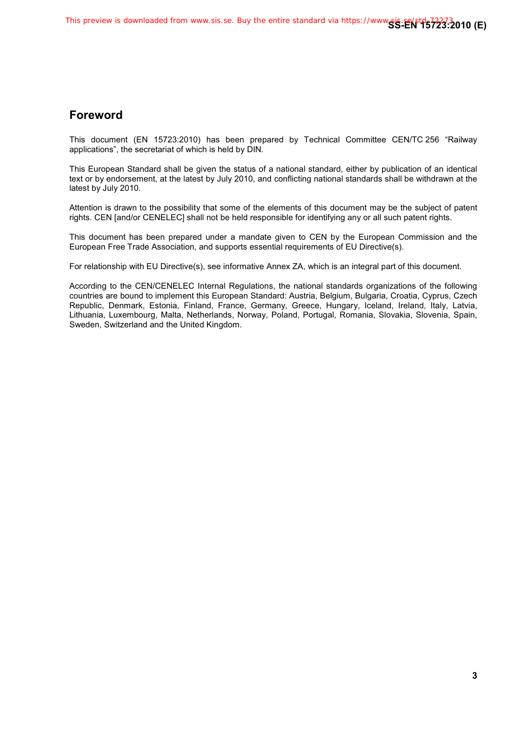**EN 15723:2010 (E)**

#### **Foreword**

This document (EN 15723:2010) has been prepared by Technical Committee CEN/TC 256 "Railway applications", the secretariat of which is held by DIN.

This European Standard shall be given the status of a national standard, either by publication of an identical text or by endorsement, at the latest by July 2010, and conflicting national standards shall be withdrawn at the latest by July 2010.

Attention is drawn to the possibility that some of the elements of this document may be the subject of patent rights. CEN [and/or CENELEC] shall not be held responsible for identifying any or all such patent rights.

This document has been prepared under a mandate given to CEN by the European Commission and the European Free Trade Association, and supports essential requirements of EU Directive(s).

For relationship with EU Directive(s), see informative Annex ZA, which is an integral part of this document.

According to the CEN/CENELEC Internal Regulations, the national standards organizations of the following countries are bound to implement this European Standard: Austria, Belgium, Bulgaria, Croatia, Cyprus, Czech Republic, Denmark, Estonia, Finland, France, Germany, Greece, Hungary, Iceland, Ireland, Italy, Latvia, Lithuania, Luxembourg, Malta, Netherlands, Norway, Poland, Portugal, Romania, Slovakia, Slovenia, Spain, Sweden, Switzerland and the United Kingdom.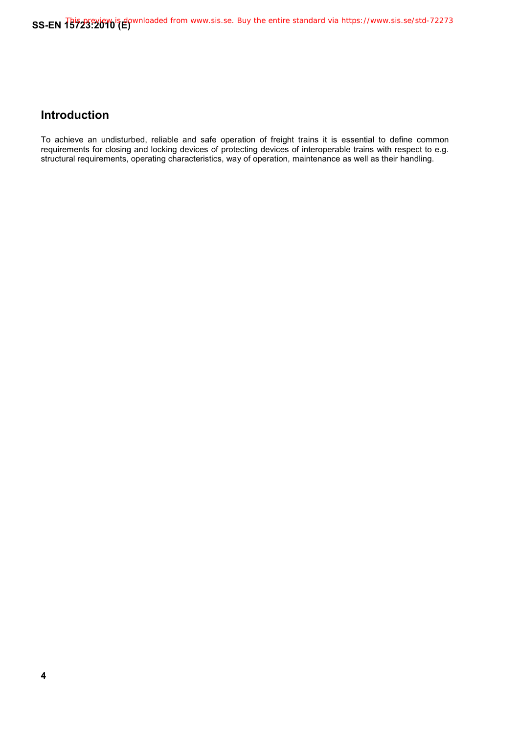#### **Introduction**

**EN 15723:2010 (E)**

To achieve an undisturbed, reliable and safe operation of freight trains it is essential to define common requirements for closing and locking devices of protecting devices of interoperable trains with respect to e.g. structural requirements, operating characteristics, way of operation, maintenance as well as their handling.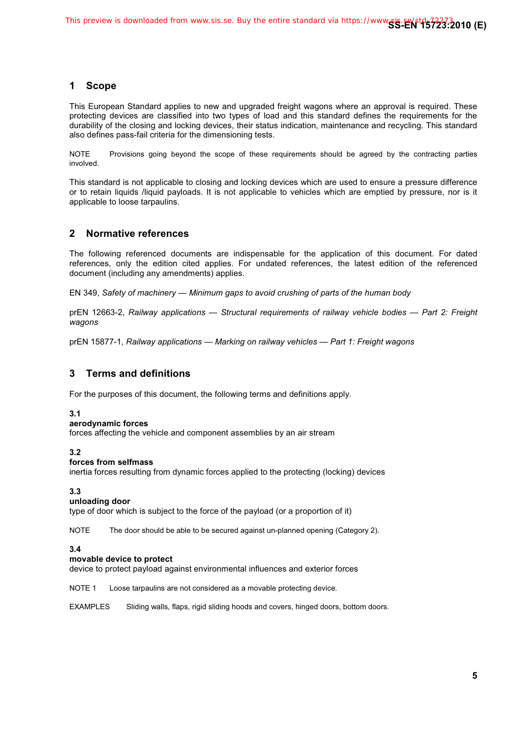**EN 15723:2010 (E)**

#### **1 Scope**

This European Standard applies to new and upgraded freight wagons where an approval is required. These protecting devices are classified into two types of load and this standard defines the requirements for the durability of the closing and locking devices, their status indication, maintenance and recycling. This standard also defines pass-fail criteria for the dimensioning tests.

NOTE Provisions going beyond the scope of these requirements should be agreed by the contracting parties involved.

This standard is not applicable to closing and locking devices which are used to ensure a pressure difference or to retain liquids /liquid payloads. It is not applicable to vehicles which are emptied by pressure, nor is it applicable to loose tarpaulins.

#### **2 Normative references**

The following referenced documents are indispensable for the application of this document. For dated references, only the edition cited applies. For undated references, the latest edition of the referenced document (including any amendments) applies.

EN 349, *Safety of machinery — Minimum gaps to avoid crushing of parts of the human body*

prEN 12663-2, *Railway applications — Structural requirements of railway vehicle bodies — Part 2: Freight wagons*

prEN 15877-1, *Railway applications — Marking on railway vehicles — Part 1: Freight wagons*

#### **3 Terms and definitions**

For the purposes of this document, the following terms and definitions apply.

#### **3.1**

#### **aerodynamic forces**

forces affecting the vehicle and component assemblies by an air stream

#### **3.2**

#### **forces from selfmass**

inertia forces resulting from dynamic forces applied to the protecting (locking) devices

#### **3.3**

#### **unloading door**

type of door which is subject to the force of the payload (or a proportion of it)

NOTE The door should be able to be secured against un-planned opening (Category 2).

#### **3.4**

#### **movable device to protect**

device to protect payload against environmental influences and exterior forces

NOTE 1 Loose tarpaulins are not considered as a movable protecting device.

EXAMPLES Sliding walls, flaps, rigid sliding hoods and covers, hinged doors, bottom doors.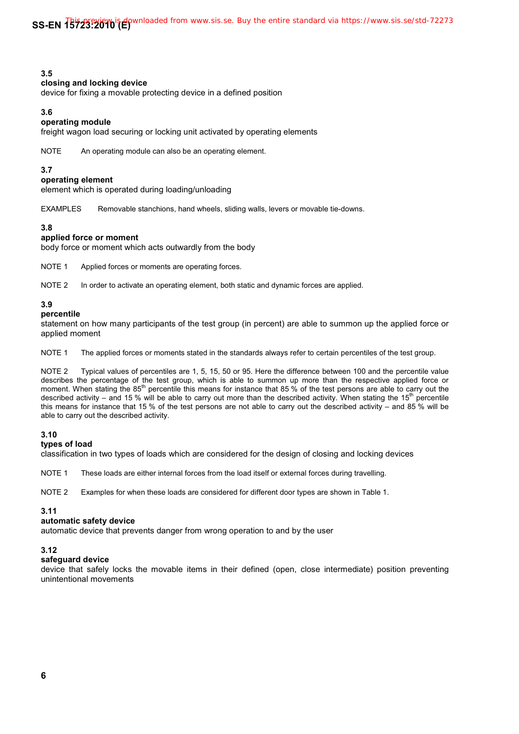#### **3.5**

#### **closing and locking device**

device for fixing a movable protecting device in a defined position

#### **3.6**

#### **operating module**

**EN 15723:2010 (E)**

freight wagon load securing or locking unit activated by operating elements

NOTE An operating module can also be an operating element.

#### **3.7**

#### **operating element**

element which is operated during loading/unloading

EXAMPLES Removable stanchions, hand wheels, sliding walls, levers or movable tie-downs.

#### **3.8**

#### **applied force or moment**

body force or moment which acts outwardly from the body

NOTE 1 Applied forces or moments are operating forces.

NOTE 2 In order to activate an operating element, both static and dynamic forces are applied.

#### **3.9**

#### **percentile**

statement on how many participants of the test group (in percent) are able to summon up the applied force or applied moment

NOTE 1 The applied forces or moments stated in the standards always refer to certain percentiles of the test group.

NOTE 2 Typical values of percentiles are 1, 5, 15, 50 or 95. Here the difference between 100 and the percentile value describes the percentage of the test group, which is able to summon up more than the respective applied force or moment. When stating the  $85<sup>th</sup>$  percentile this means for instance that  $85\%$  of the test persons are able to carry out the described activity – and 15 % will be able to carry out more than the described activity. When stating the 15<sup>th</sup> percentile this means for instance that 15 % of the test persons are not able to carry out the described activity – and 85 % will be able to carry out the described activity.

#### **3.10**

#### **types of load**

classification in two types of loads which are considered for the design of closing and locking devices

NOTE 1 These loads are either internal forces from the load itself or external forces during travelling.

NOTE 2 Examples for when these loads are considered for different door types are shown in Table 1.

#### **3.11**

#### **automatic safety device**

automatic device that prevents danger from wrong operation to and by the user

#### **3.12**

#### **safeguard device**

device that safely locks the movable items in their defined (open, close intermediate) position preventing unintentional movements